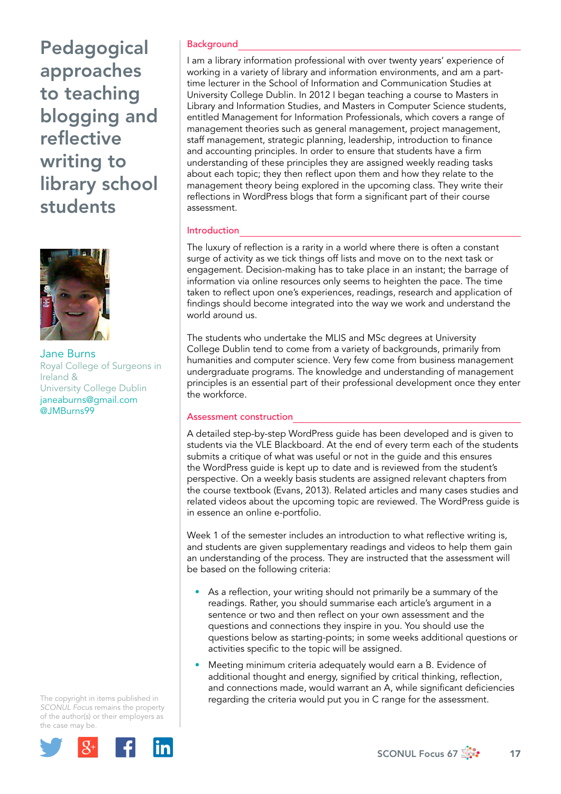Pedagogical approaches to teaching blogging and reflective writing to library school students



Jane Burns Royal College of Surgeons in Ireland & University College Dublin [janeaburns@gmail.com](mailto:janeaburns@gmail.com) @JMBurns99

The copyright in items published in *SCONUL Focus* remains the property of the author(s) or their employers as the case may be.



### **Background**

I am a library information professional with over twenty years' experience of working in a variety of library and information environments, and am a parttime lecturer in the School of Information and Communication Studies at University College Dublin. In 2012 I began teaching a course to Masters in Library and Information Studies, and Masters in Computer Science students, entitled Management for Information Professionals, which covers a range of management theories such as general management, project management, staff management, strategic planning, leadership, introduction to finance and accounting principles. In order to ensure that students have a firm understanding of these principles they are assigned weekly reading tasks about each topic; they then reflect upon them and how they relate to the management theory being explored in the upcoming class. They write their reflections in WordPress blogs that form a significant part of their course assessment.

## Introduction

The luxury of reflection is a rarity in a world where there is often a constant surge of activity as we tick things off lists and move on to the next task or engagement. Decision-making has to take place in an instant; the barrage of information via online resources only seems to heighten the pace. The time taken to reflect upon one's experiences, readings, research and application of findings should become integrated into the way we work and understand the world around us.

The students who undertake the MLIS and MSc degrees at University College Dublin tend to come from a variety of backgrounds, primarily from humanities and computer science. Very few come from business management undergraduate programs. The knowledge and understanding of management principles is an essential part of their professional development once they enter the workforce.

# Assessment construction

A detailed step-by-step WordPress guide has been developed and is given to students via the VLE Blackboard. At the end of every term each of the students submits a critique of what was useful or not in the guide and this ensures the WordPress guide is kept up to date and is reviewed from the student's perspective. On a weekly basis students are assigned relevant chapters from the course textbook (Evans, 2013). Related articles and many cases studies and related videos about the upcoming topic are reviewed. The WordPress guide is in essence an online e-portfolio.

Week 1 of the semester includes an introduction to what reflective writing is, and students are given supplementary readings and videos to help them gain an understanding of the process. They are instructed that the assessment will be based on the following criteria:

- As a reflection, your writing should not primarily be a summary of the readings. Rather, you should summarise each article's argument in a sentence or two and then reflect on your own assessment and the questions and connections they inspire in you. You should use the questions below as starting-points; in some weeks additional questions or activities specific to the topic will be assigned.
- Meeting minimum criteria adequately would earn a B. Evidence of additional thought and energy, signified by critical thinking, reflection, and connections made, would warrant an A, while significant deficiencies regarding the criteria would put you in C range for the assessment.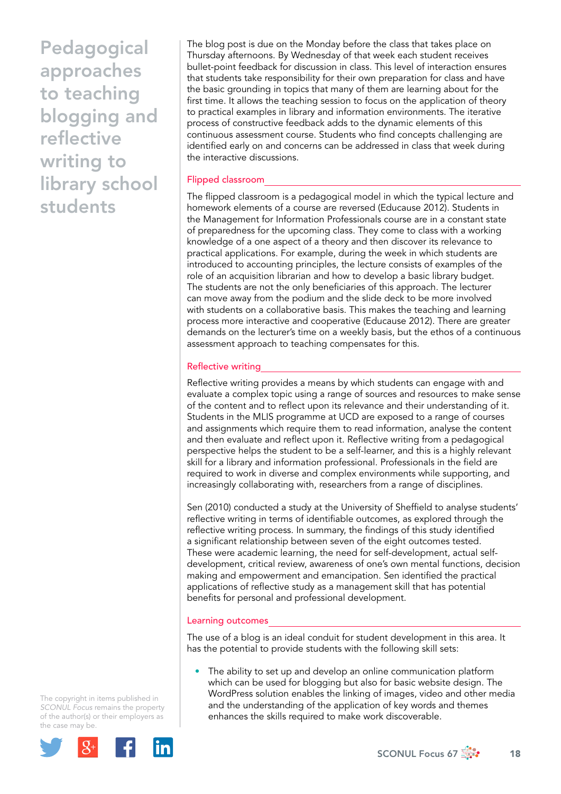Pedagogical approaches to teaching blogging and reflective writing to library school students

The blog post is due on the Monday before the class that takes place on Thursday afternoons. By Wednesday of that week each student receives bullet-point feedback for discussion in class. This level of interaction ensures that students take responsibility for their own preparation for class and have the basic grounding in topics that many of them are learning about for the first time. It allows the teaching session to focus on the application of theory to practical examples in library and information environments. The iterative process of constructive feedback adds to the dynamic elements of this continuous assessment course. Students who find concepts challenging are identified early on and concerns can be addressed in class that week during the interactive discussions.

## Flipped classroom

The flipped classroom is a pedagogical model in which the typical lecture and homework elements of a course are reversed (Educause 2012). Students in the Management for Information Professionals course are in a constant state of preparedness for the upcoming class. They come to class with a working knowledge of a one aspect of a theory and then discover its relevance to practical applications. For example, during the week in which students are introduced to accounting principles, the lecture consists of examples of the role of an acquisition librarian and how to develop a basic library budget. The students are not the only beneficiaries of this approach. The lecturer can move away from the podium and the slide deck to be more involved with students on a collaborative basis. This makes the teaching and learning process more interactive and cooperative (Educause 2012). There are greater demands on the lecturer's time on a weekly basis, but the ethos of a continuous assessment approach to teaching compensates for this.

# Reflective writing

Reflective writing provides a means by which students can engage with and evaluate a complex topic using a range of sources and resources to make sense of the content and to reflect upon its relevance and their understanding of it. Students in the MLIS programme at UCD are exposed to a range of courses and assignments which require them to read information, analyse the content and then evaluate and reflect upon it. Reflective writing from a pedagogical perspective helps the student to be a self-learner, and this is a highly relevant skill for a library and information professional. Professionals in the field are required to work in diverse and complex environments while supporting, and increasingly collaborating with, researchers from a range of disciplines.

Sen (2010) conducted a study at the University of Sheffield to analyse students' reflective writing in terms of identifiable outcomes, as explored through the reflective writing process. In summary, the findings of this study identified a significant relationship between seven of the eight outcomes tested. These were academic learning, the need for self-development, actual selfdevelopment, critical review, awareness of one's own mental functions, decision making and empowerment and emancipation. Sen identified the practical applications of reflective study as a management skill that has potential benefits for personal and professional development.

### Learning outcomes

The use of a blog is an ideal conduit for student development in this area. It has the potential to provide students with the following skill sets:

The ability to set up and develop an online communication platform which can be used for blogging but also for basic website design. The WordPress solution enables the linking of images, video and other media and the understanding of the application of key words and themes enhances the skills required to make work discoverable.

The copyright in items published in *SCONUL Focus* remains the property of the author(s) or their employers as the case may be.



SCONUL Focus 67  $\frac{1}{200}$  18